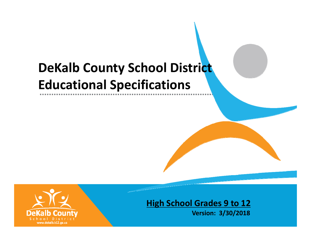# **DeKalb County School District Educational Specifications**



**High School Grades 9 to 12**

**Version: 3/30/2018**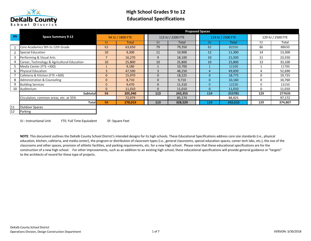

<sup>12</sup> Parking

# High School Grades 9 to 12Educational Specifications

|                |                                             |                |                  |          |                   | <b>Proposed Spaces</b> |                   |     |                   |
|----------------|---------------------------------------------|----------------|------------------|----------|-------------------|------------------------|-------------------|-----|-------------------|
| <b>HS</b>      | <b>Space Summary 9-12</b>                   |                | 94 IU / 1800 FTE |          | 113 IU / 2200 FTE |                        | 119 IU / 2300 FTE |     | 129 IU / 2500 FTE |
|                |                                             | IU             | <b>Total</b>     | IU       | Total             | IU                     | <b>Total</b>      | IU  | Total             |
|                | Core Academics 9th to 12th Grade            | 63             | 63,650           | 79       | 79,350            | 82                     | 82550             | 86  | 88650             |
| $\overline{2}$ | <b>Special Education</b>                    | 10             | 9,300            | 11       | 10,900            | 12                     | 11,300            | 14  | 13,300            |
|                | Performing & Visual Arts                    |                | 16,270           | 9        | 18,100            | 10                     | 21,030            | 11  | 23,550            |
|                | Career, Technology & Agricultural Education | 10             | 25,800           | 10       | 25,800            | 10                     | 25,800            | 13  | 33,100            |
| 5              | Media Center (FTE +300)                     |                | 9,180            |          | 10,700            |                        | 11100             |     | 11700             |
| 6.             | <b>Physical Education</b>                   | 3              | 47,590           | 3        | 48,250            | 4                      | 49,830            | 4   | 52,690            |
|                | Cafeteria & Kitchen (FTE +300)              | $\Omega$       | 15,970           | $\Omega$ | 18,225            | $\overline{0}$         | 18,775            |     | 19,725            |
| 8              | Administration & Counseling                 | $\mathbf{0}$   | 8,710            | $\Omega$ | 9,710             | $\mathbf{0}$           | 10,160            |     | 10,760            |
| 9              | <b>Building Services</b>                    | $\overline{0}$ | 9,470            | $\Omega$ | 11,310            | $\overline{0}$         | 12230             |     | 13150             |
| 10             | Auditorium                                  | $\Omega$       | 11,010           | $\Omega$ | 11,010            | $\Omega$               | 11,010            |     | 11,010            |
|                | <b>Subtotal</b>                             | 94             | 205,940          | 113      | 243,355           | 119                    | 253785            | 129 | 277635            |
|                | Circulation, common areas, etc. at 35%      |                | 72,079           |          | 85,174            |                        | 88,825            |     | 97,172            |
|                | <b>Total</b>                                | 94             | 278,019          | 113      | 328,529           | 119                    | 342,610           | 129 | 374,807           |
| 11             | <b>Outdoor Spaces</b>                       |                |                  |          |                   |                        |                   |     |                   |

IU : Instructional Unit FTE: Full Time Equivalent SF: Square Feet

NOTE: This document outlines the DeKalb County School District's intended designs for its high schools. These Educational Specifications address core size standards (i.e., physical education, kitchen, cafeteria, and media center), the program or distribution of classroom types (i.e., general classrooms, special education spaces, career tech labs, etc.), the size of the classrooms and other spaces, provision of athletic facilities, and parking requirements, etc. for a new high school. Please note that these educational specifications are for the construction of a new high school. For other improvements, such as an addition to an existing high school, these educational specifications will provide general guidance or "targets" to the architects of record for these type of projects.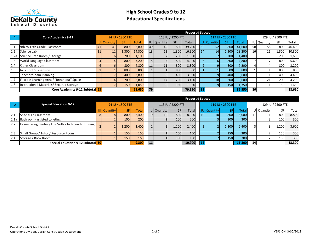

|      |                                            |                    |                  |              |    |                    |                   | <b>Proposed Spaces</b> |    |          |                   |        |           |                    |                   |        |
|------|--------------------------------------------|--------------------|------------------|--------------|----|--------------------|-------------------|------------------------|----|----------|-------------------|--------|-----------|--------------------|-------------------|--------|
|      | <b>Core Academics 9-12</b>                 |                    | 94 IU / 1800 FTE |              |    |                    | 113 IU / 2200 FTE |                        |    |          | 119 IU / 2300 FTE |        |           |                    | 129 IU / 2500 FTE |        |
|      |                                            | <b>IU</b> Quantity | SF               | <b>Total</b> |    | <b>IU</b> Quantity | SF                | Total                  |    | Quantity | SF.               | Total  |           | <b>IU</b> Quantity | SF                | Total  |
| 1.1  | 9th to 12th Grade Classroom                | 41                 | 800              | 32,800       | 49 | 49                 | 800               | 39,200                 | 52 | 52       | 800               | 41,600 | 58        | 58                 | 800               | 46,400 |
| 1.2  | Science Lab                                | 11                 | 1,300            | 14,300       | 13 | 13                 | 1,300             | 16,900                 | 14 | 14       | 1,300             | 18,200 | <b>16</b> | 16                 | 1,300             | 20,800 |
| 1.2a | Science Prep Room / Storage                |                    | 200              | 1,100        |    |                    | 200               | 1,300                  |    |          | 200               | 1,400  |           |                    | 200               | 1,600  |
| 1.3  | World Language Classroom                   |                    | 800              | 3,200        |    |                    | 800               | 4,000                  |    |          | 800               | 4,800  |           |                    | 800               | 5,600  |
| 1.4  | <b>Other Classroom</b>                     |                    | 800l             | 4,800        | 11 |                    | 800               | 8,800                  |    |          | 800               | 7,200  |           |                    | 800               | 3,200  |
| 1.5  | In School Suspension                       |                    | 800              | 800          |    |                    | 800               | 800                    |    |          | 800               | 800    |           |                    | 800               | 800    |
| 1.6  | Teacher/Team Planning                      |                    | 400              | 2,800        |    |                    | 400               | 3,600                  |    |          | 400               | 3,600  |           |                    | 400               | 4,400  |
|      | Flexible Learning Area / "Break-out" Space | 14                 | 200              | 2,800        |    |                    | 200               | 3,400                  |    | 18       | 200               | 3,600  |           |                    | 200               | 4.200  |
| 1.8  | Instructional Materials/ Secured Storage   |                    | 150              | 1,050        |    |                    | 150               | 1,350                  |    |          | 150               | 1,350  |           |                    | 150               | 1,650  |
|      | Core Academics 9-12 Subtotal 63            |                    |                  | 63,650       | 79 |                    |                   | 79,350                 |    |          |                   | 82,550 | 86        |                    |                   | 88,650 |

|      |                                                       |                    |                  |       |                |                    |                   | <b>Proposed Spaces</b> |    |          |                   |        |           |                    |                   |        |
|------|-------------------------------------------------------|--------------------|------------------|-------|----------------|--------------------|-------------------|------------------------|----|----------|-------------------|--------|-----------|--------------------|-------------------|--------|
|      | <b>Special Education 9-12</b>                         |                    | 94 IU / 1800 FTE |       |                |                    | 113 IU / 2200 FTE |                        |    |          | 119 IU / 2300 FTE |        |           |                    | 129 IU / 2500 FTE |        |
|      |                                                       | <b>IU</b> Quantity | SFI              | Tota  |                | <b>IU</b> Quantity | .SF/              | Total                  |    | Quantity |                   | Total  |           | <b>IU Quantity</b> | SF                | Total  |
| 2.1  | Special Ed Classroom                                  |                    | 800              | 6,400 | 9              | 10 <sup>1</sup>    | 800               | 8,000                  | 10 | 10       | 800               | 8,000  |           |                    | 800               | 8,800  |
| 2.1a | Bathroom (assisted toileting)                         |                    | 100              | 200   |                |                    | 100               | 200                    |    |          | 100 <sup> </sup>  | 300    |           |                    | 100               | 300    |
| 2.2  | Home Living Center / Life Skills / Independent Living |                    | 1,200            | 2,400 | $\overline{2}$ |                    | 1,200             | 2,400                  |    |          | 1,200             | 2,400  |           |                    | .200              | 3,600  |
| 2.3  | Small Group / Tutor / Resource Room                   |                    | 150              | 150   |                |                    | 150               | 150                    |    |          | <b>150</b>        | 300    |           |                    | 150               | 300    |
| 2.4  | Storage / Book Room                                   |                    | 150              | 150   |                |                    | 150               | 150                    |    |          | <b>150</b>        | 300    |           |                    | 150               | 300    |
|      | Special Education 9-12 Subtotal 10                    |                    |                  | 9.300 | 11             |                    |                   | 10,900                 |    |          |                   | 11,300 | <b>14</b> |                    |                   | 13,300 |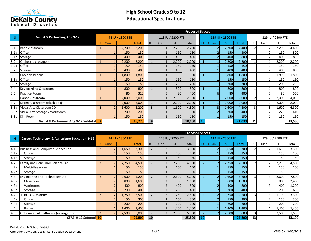

|                  |                                          |       |                  |                 |    |       |                   | <b>Proposed Spaces</b> |    |       |                   |              |    |       |                   |        |
|------------------|------------------------------------------|-------|------------------|-----------------|----|-------|-------------------|------------------------|----|-------|-------------------|--------------|----|-------|-------------------|--------|
| 3                | <b>Visual &amp; Performing Arts 9-12</b> |       | 94 IU / 1800 FTE |                 |    |       | 113 IU / 2200 FTE |                        |    |       | 119 IU / 2300 FTE |              |    |       | 129 IU / 2500 FTE |        |
|                  |                                          | Quan. | <b>SF</b>        | <b>Total</b>    | IU | Quan. | <b>SF</b>         | <b>Total</b>           |    | Quan. | SF.               | <b>Total</b> | IU | Quan. | <b>SF</b>         | Total  |
| 3.1              | <b>Band classroom</b>                    |       | 2,200            | 2,200           |    |       | 2,200             | 2,200                  |    |       | 2,200             | 4,400        |    |       | 2,200             | 4,400  |
| 3.1a             | <b>Office</b>                            |       | 150              | 150             |    |       | 150               | 150                    |    |       | 150               | 300          |    |       | 150               | 300    |
| 3.1 <sub>b</sub> | Storage                                  |       | 400              | 400             |    |       | 400               | 400                    |    |       | 400               | <b>800</b>   |    |       | 400               | 800    |
| 3.2              | Orchestra classroom                      |       | 2,200            | 2,200           |    |       | 2,200             | 2,200                  |    |       | 2,200             | 2,200        |    |       | 2,200             | 2,200  |
| 3.2a             | Office                                   |       | 150              | 150             |    |       | 150               | 150                    |    |       | 150               | 150          |    |       | 150               | 150    |
| 3.2 <sub>b</sub> | Storage                                  |       | 400              | 40 <sub>C</sub> |    |       | 400               | 400                    |    |       | 400               | 400          |    |       | 400               | 800    |
| 3.3              | Choir classroom                          |       | 1,800            | 1,800           |    |       | 1,800             | 1,800                  |    |       | 1,800             | 1,800        |    |       | 1,800             | 1,800  |
| 3.3a             | Office                                   |       | 150              | 150             |    |       | 150               | 150                    |    |       | 150               | 150          |    |       | 150               | 150    |
| 3.3 <sub>b</sub> | Storage                                  |       | 150              | 150             |    |       | 200               | 200                    |    |       | 200               | 200          |    |       | 200               | 200    |
| 3.4              | <b>Keyboarding Classroom</b>             |       | 800              | 800             |    |       | 800               | 800                    |    |       | 800               | 800          |    |       | 800               | 800    |
| 3.5              | <b>Practice Room</b>                     |       | 80               | 320             |    |       | 80                | 400                    |    |       | 80                | 480          |    |       | 80                | 560    |
| 3.6              | Dance Classroom                          |       | 2,000            | 2,000           |    |       | 2,000             | 2,000                  |    |       | 2,000             | 2,000        |    |       | 2,000             | 4,000  |
| 3.7              | Drama Classroom (Black Box)*             |       | 2,000            | 2,000           | 1  |       | 2,000             | 2,000                  |    |       | 2,000             | 2,000        |    |       | 2,000             | 2,000  |
| 3.8a             | Visual Arts Classroom 2D                 |       | 1,600            | 3,200           | 3  |       | 1,600             | 4,800                  |    |       | 1,600             | 4,800        |    |       | 1,600             | 4,800  |
|                  | 3.8b Visual Arts Storage / Workroom      |       | 200              | 200             |    |       | 300               | 300                    |    |       | 200               | 400          |    |       | 220               | 440    |
|                  | 3.8c Kiln Room                           |       | 150              | 150             |    |       | 150               | 150                    |    |       | 150               | 150          |    |       | 150               | 150    |
|                  | Visual & Performing Arts 9-12 Subtotal   |       |                  | 16,270          | 9  |       |                   | 18,100                 | 10 |       |                   | 21,030       | 11 |       |                   | 23,550 |

|                  |                                                 |       |                  |              |                |       |                   | <b>Proposed Spaces</b> |    |       |                   |        |                 |       |                   |        |
|------------------|-------------------------------------------------|-------|------------------|--------------|----------------|-------|-------------------|------------------------|----|-------|-------------------|--------|-----------------|-------|-------------------|--------|
| $\overline{4}$   | Career, Technology & Agriculture Education 9-12 |       | 94 IU / 1800 FTE |              |                |       | 113 IU / 2200 FTE |                        |    |       | 119 IU / 2300 FTE |        |                 |       | 129 IU / 2500 FTE |        |
|                  |                                                 | Quan. | <b>SF</b>        | <b>Total</b> | <b>IU</b>      | Quan. | <b>SF</b>         | Total                  | IL | Quan. | SF.               | Total  |                 | Quan. | <b>SF</b>         | Total  |
| 4.1              | <b>Business and Computer Science Lab</b>        |       | 1,650            | 3,300        | $\overline{2}$ |       | 1,650             | 3,300                  |    |       | 1,650             | 3,300  |                 |       | 1,650             | 3,300  |
| 4.1a             | Office                                          |       | 150              | 150          |                |       | 150               | 150                    |    |       | 150               | 150    |                 |       | 150               | 150    |
| 4.1 <sub>b</sub> | Storage                                         |       | 150              | 150          |                |       | 150               | 150                    |    |       | 150               | 150    |                 |       | 150               | 150    |
| 4.2              | Family and Consumer Science Lab                 |       | 2,250            | 4,500        |                |       | 2,250             | 4,500                  |    |       | 2,250             | 4,500  |                 |       | 2,250             | 4,500  |
| 4.2a             | Multi-Use room                                  |       | 150              | 150          |                |       | 150               | 150                    |    |       | 150               | 150    |                 |       | 150               | 150    |
| 4.2 <sub>b</sub> | Storage                                         |       | 150              | 150          |                |       | 150               | 150                    |    |       | 150               | 150    |                 |       | 150               | 150    |
| 4.3              | Engineering and Technology Lab                  |       | 2,600            | 5,200        |                |       | 2,600             | 5,200                  |    |       | 2,600             | 5,200  |                 | 3     | 2,600             | 7,800  |
| 4.3a             | Classroom                                       |       | 800              | 1,600        |                |       | 800               | 1,600                  |    |       | 800               | 1,600  |                 |       | 800               | 2,400  |
| 4.3 <sub>b</sub> | Workroom                                        |       | 400              | 800          |                |       | 400               | 800                    |    |       | 400               | 800    |                 |       | 400               | 1,200  |
| 4.3c             | Storage                                         |       | 200              | 400          |                |       | 200               | 400                    |    |       | 200               | 400    |                 |       | 200               | 600    |
| 4.4              | Jr. ROTC Classroom                              |       | 1,250            | 2,500        |                |       | 1,250             | 2,500                  |    |       | 1,250             | 2,500  |                 |       | 1,100             | 3,300  |
| 4.4a             | Office                                          |       | 150              | 300          |                |       | 150               | 300                    |    |       | 150               | 300    |                 |       | 150               | 300    |
| 4.4b             | Storage                                         |       | 200              | 200          |                |       | 200               | 200                    |    |       | 200               | 200    |                 |       | 200               | 200    |
| 4.4c             | Range                                           |       | 1,400            | 1,400        |                |       | 1,400             | 1,400                  |    |       | 1,400             | 1,400  |                 |       | 1,400             | 1,400  |
| 4.5              | Optional CTAE Pathways (average size)           |       | 2,500            | 5,000        |                |       | 2,500             | 5,000                  |    |       | 2,500             | 5,000  | 3               |       | 2,500             | 7,500  |
|                  | CTAE 9-12 Subtotal 10                           |       |                  | 25,800       | 10             |       |                   | 25,800                 | 10 |       |                   | 25,800 | 13 <sup>1</sup> |       |                   | 33,100 |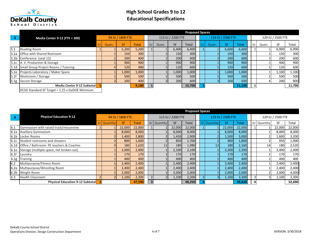

|      |                                                |       |                  |              |    |       |                   | <b>Proposed Spaces</b> |      |       |                   |              |       |                   |        |
|------|------------------------------------------------|-------|------------------|--------------|----|-------|-------------------|------------------------|------|-------|-------------------|--------------|-------|-------------------|--------|
| -5   | <b>Media Center 9-12 (FTE + 300)</b>           |       | 94 IU / 1800 FTE |              |    |       | 113 IU / 2200 FTE |                        |      |       | 119 IU / 2300 FTE |              |       | 129 IU / 2500 FTE |        |
|      |                                                | Quan. | <b>SF</b>        | <b>Total</b> | IU | Quan. | <b>SF</b>         | Total                  | l IU | Quan. | <b>SF</b>         | <b>Total</b> | Quan. | <b>SF</b>         | Total  |
| 5.1  | <b>Reading Room</b>                            |       | 5,200            | 5,200        |    |       | 6,400             | 6,400                  |      |       | 6,600             | 6,600        |       | 6,900             | 6,900  |
| 5.1a | <b>Office with Shared Restroom</b>             |       | 150              | 300          |    |       | 150               | 300                    |      |       | 150               | 300          |       | 150               | 300    |
|      | 5.1b Conference (seat 12)                      |       | 200              | 400          |    |       | 200               | 400                    |      |       | 200               | 600          |       | 200               | 600    |
|      | 5.1c   A.V. Production & Storage               |       | 900              | 900          |    |       | 900               | 900                    |      |       | 900               | 900          |       | 900               | 900    |
|      | 5.1d Small Group Project Rooms / Tutoring      |       | 120              | 480          |    |       | 120               | 600                    |      |       | 120               | 600          |       | 120               | 600    |
|      | 5.1e Projects Laboratory / Maker Space         |       | 1,000            | 1,000        |    |       | 1,000             | 1,000                  |      |       | 1,000             | 1,000        |       | 1,100             | 1,100  |
| 5.1f | Workroom / Storage                             |       | 500              | 500          |    |       | 500               | 500                    |      |       | <b>500</b>        | 500          |       | 500               | 500    |
|      | 5.1g Secure Storage                            |       | 200              | 400          |    |       | 200               | 600                    |      |       | 200               | <b>600</b>   |       | 200               | 800    |
|      | Media Center 9-12 Subtotal                     |       |                  | 9,180        |    |       |                   | 10,700                 |      |       |                   | 11,100       |       |                   | 11,700 |
|      | DCSD Standard SF Target = 1.25 x GaDOE Minimum |       |                  |              |    |       |                   |                        |      |       |                   |              |       |                   |        |

|                  |                                          |                    |                  |        |   |                    |                   | <b>Proposed Spaces</b> |  |                 |                   |        |                    |                   |        |
|------------------|------------------------------------------|--------------------|------------------|--------|---|--------------------|-------------------|------------------------|--|-----------------|-------------------|--------|--------------------|-------------------|--------|
| 6                | <b>Physical Education 9-12</b>           |                    | 94 IU / 1800 FTE |        |   |                    | 113 IU / 2200 FTE |                        |  |                 | 119 IU / 2300 FTE |        |                    | 129 IU / 2500 FTE |        |
|                  |                                          | <b>IU Quantity</b> | SF               | Total  |   | <b>IU</b> Quantity | SF                | Total                  |  | Quantity        | SF.               | Total  | <b>IU</b> Quantity | SF                | Total  |
| 6.1              | Gymnasium with raised track/mezannine    |                    | 22,000           | 22,000 |   |                    | 22,000            | 22,000                 |  |                 | 22,000            | 22,000 |                    | 22,000            | 22,000 |
| 6.1a             | <b>Auxiliary Gymnasium</b>               |                    | 8,000            | 8,000  |   |                    | 8,000             | 8,000                  |  |                 | 8,000             | 8,000  |                    | 8,000             | 8,000  |
| 6.1 <sub>b</sub> | Locker Rooms                             |                    | 1,400            | 2,800  |   |                    | 1,450             | 2,900                  |  |                 | 1,500             | 3,000  |                    | 1,600             | 3,200  |
| 6.1c             | Student restrooms and showers            |                    | 800              | 1,600  |   |                    | 850               | 1,700                  |  |                 | 900               | 1,800  |                    | 950               | 1,900  |
| 6.1 <sub>d</sub> | Office / Bathroom: PE teachers & Coaches |                    | 180              | 1,620  |   |                    | 180               | 1,980                  |  | 12 <sup>°</sup> | 180               | 2,160  | 14                 | 180               | 2,520  |
| 6.1e             | Storage (multiple space, not broken out) |                    | 2,000            | 2,000  |   |                    | 2,100             | 2,100                  |  |                 | 2,200             | 2,200  |                    | 2,400             | 2,400  |
| 6.1f             | Laundry                                  |                    | 170              | 170    |   |                    | 170               | 170                    |  |                 | 170               | 170    |                    | 170               | 170    |
| 6.1g             | Training                                 |                    | 400              | 400    |   |                    | 400               | 400                    |  |                 | 400               | 400    |                    | 400               | 400    |
| 6.2              | Multipurpose/Fitness Room                |                    | 2,400            | 2,400  |   |                    | 2,400             | 2,400                  |  |                 | 2,400             | 2,400  |                    | 2,400             | 2,400  |
| 6.2a             | Multipurpose/Wrestling Room              |                    | 2,400            | 2,400  |   |                    | 2,400             | 2,400                  |  |                 | 2,400             | 2,400  |                    | 2,400             | 2,400  |
| 6.2 <sub>b</sub> | Weight Room                              |                    | 2,000            | 2,000  |   |                    | 2,000             | 2,000                  |  |                 | 2,000             | 2,000  |                    | 2,000             | 4,000  |
| 6.3              | <b>Health Classroom</b>                  |                    | 1,100            | 2,200  |   |                    | 1,100             | 2,200                  |  |                 | 1,100             | 3,300  |                    | 1,100             | 3,300  |
|                  | <b>Physical Education 9-12 Subtotal</b>  |                    |                  | 47,590 | 3 |                    |                   | 48,250                 |  |                 |                   | 49,830 |                    |                   | 52,690 |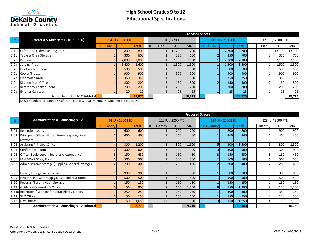

|                  |                                                                                 |       |                  |              |    |       |                   | <b>Proposed Spaces</b> |  |       |                   |              |    |       |                   |        |
|------------------|---------------------------------------------------------------------------------|-------|------------------|--------------|----|-------|-------------------|------------------------|--|-------|-------------------|--------------|----|-------|-------------------|--------|
|                  | Cafeteria & Kitchen 9-12 (FTE + 300)                                            |       | 94 IU / 1800 FTE |              |    |       | 113 IU / 2200 FTE |                        |  |       | 119 IU / 2300 FTE |              |    |       | 129 IU / 2500 FTE |        |
|                  |                                                                                 | Quan. | <b>SF</b>        | <b>Total</b> | IU | Quan. | <b>SF</b>         | <b>Total</b>           |  | Quan. | <b>SF</b>         | <b>Total</b> | IU | Quan. | <b>SF</b>         | Total  |
| 7.1              | Cafeteria/Student seating area                                                  |       | 9,800            | 9,800        |    |       | 11,700            | 11,700                 |  |       | 12,200            | 12,200       |    |       | 13,100            | 13,100 |
| 7.1 <sub>b</sub> | Table & Chair Storage                                                           |       | 300              | 600          |    |       | 325               | 650                    |  |       | 350               | 700          |    |       | 375               | 750    |
| 17.2             | Kitchen                                                                         |       | 2,000            | 2,000        |    |       | 2,100             | 2,100                  |  |       | 2,100             | 2,100        |    |       | 2,100             | 2,100  |
| 7.2a             | <b>Serving Area</b>                                                             |       | 1,400            | 1,400        |    |       | 1,500             | 1,500                  |  |       | 1,500             | 1,500        |    |       | 1,500             | 1,500  |
|                  | 7.2b   Dry Goods Storage                                                        |       | 500              | 500          |    |       | 500               | 500                    |  |       | 500               | 500          |    |       | 500               | 500    |
|                  | 7.2c Cooler/Freezer                                                             |       | 900              | 900          |    |       | 900               | 900                    |  |       | 900               | 900          |    |       | 900               | 900    |
|                  | 7.2d Dish Wash Area                                                             |       | 350              | 350          |    |       | 350               | 350                    |  |       | 350               | 350          |    |       | 350               | 350    |
|                  | 7.2e Kitchen Mgr. Office                                                        |       | 200              | 200          |    |       | 150               | 300                    |  |       | 150               | 300          |    |       | 150               | 300    |
| 7.2f             | Restroom/Locker Room                                                            |       | 200              | 200          |    |       | 200               | 200                    |  |       | 200               | 200          |    |       | 200               | 200    |
|                  | 7.2g Exterior Can Wash                                                          |       | <b>20</b>        | <b>20</b>    |    |       | 25                | 25                     |  |       | 25                | 25           |    |       | 25                | 25     |
|                  | <b>School Nutrition 9-12 Subtotall</b>                                          |       |                  | 15,970       |    |       |                   | 18,225                 |  |       |                   | 18,775       |    |       |                   | 19,725 |
|                  | DCSD Standard SF Target = Cafeteria : 1.4 x GaDOE Minimum; Kitchen: 1.3 x GaDOE |       |                  |              |    |       |                   |                        |  |       |                   |              |    |       |                   |        |

|      |                                                        |                    |                  |              |                    |                   | <b>Proposed Spaces</b> |    |          |                   |              |    |          |                   |        |
|------|--------------------------------------------------------|--------------------|------------------|--------------|--------------------|-------------------|------------------------|----|----------|-------------------|--------------|----|----------|-------------------|--------|
| 8    | <b>Administration &amp; Counseling 9-12</b>            |                    | 94 IU / 1800 FTE |              |                    | 113 IU / 2200 FTE |                        |    |          | 119 IU / 2300 FTE |              |    |          | 129 IU / 2500 FTE |        |
|      |                                                        | <b>IU Quantity</b> | SF               | <b>Total</b> | <b>IU</b> Quantity | SF                | Total                  | IU | Quantity | <b>SF</b>         | <b>Total</b> | IU | Quantity | SF                | Total  |
| 8.01 | <b>Reception Lobby</b>                                 |                    | 600              | 600          |                    | 700               | 700                    |    |          | 800               | 800          |    |          | 900               | 900    |
|      | 8.02 Principal's Office with conference space, closet, |                    | 460              | 460          |                    | 460               | 460                    |    |          | 460               | 460          |    |          | 460               | 460    |
|      | restroom                                               |                    |                  |              |                    |                   |                        |    |          |                   |              |    |          |                   |        |
| 8.03 | <b>Assistant Principal Office</b>                      |                    | 300              | 1,200        |                    | 300               | 1,500                  |    | 5.       | 300               | 1,500        |    |          | 300               | 1,500  |
| 8.04 | Conference Room                                        |                    | 300              | 600          |                    | 300               | 900                    |    |          | 300               | 900          |    |          | 300               | 900    |
| 8.05 | Office (Bookkeeper, Secretary, Attendance)             |                    | 150              | 450          |                    | 150               | 450                    |    | 3        | 150               | 450          |    |          | 150               | 450    |
|      | 8.06 Mail/Work/Copy Room                               |                    | 500              | 500          |                    | 500               | 500                    |    |          | 500               | 500          |    |          | 500               | 500    |
| 8.07 | Administrative Storage (Supplies, General Storage)     |                    | 200              | 400          |                    | 200               | 400                    |    |          | 200               | 400          |    |          | 200               | 400    |
| 8.08 | Faculty Lounge with two restrooms                      |                    | 900              | 900          |                    | 900               | 900                    |    |          | 900               | 900          |    |          | 900               | 900    |
| 8.09 | Health Clinic with supply closet and rest room         |                    | 500              | 500          |                    | 500               | 500                    |    |          | 500               | 500          |    |          | 500               | 500    |
| 8.10 | Records / Testing Vault Storage                        |                    | 150              | 150          |                    | 150               | 150                    |    |          | 150               | 150          |    |          | 150               | 150    |
| 8.11 | Guidance Counselor's Office                            |                    | 150              | 900          |                    | 150               | 1,050                  |    |          | 150               | 1,200        |    |          | 150               | 1,350  |
|      | 8.11a Reception / Waiting for Counseling / Library     |                    | 250              | 250          |                    | 250               | 250                    |    |          | 300               | 300          |    |          | 350               | 350    |
|      | 8.12 SRO Office                                        |                    | 150              | 150          |                    | 150               | 150                    |    |          | <b>150</b>        | 150          |    |          | 150               | 300    |
|      | 8.13   Flex Offices                                    | 11                 | 150              | 1,650        | 12                 | 150               | 1,800                  |    | 13       | 150               | 1,950        |    | 14       | 150               | 2,100  |
|      | <b>Administration &amp; Counseling 9-12 Subtotal</b>   |                    |                  | 8,710        |                    |                   | 9,710                  |    |          |                   | 10,160       |    |          |                   | 10,760 |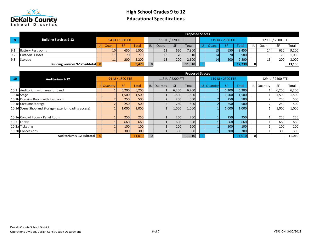

|     |                                        |       |                  |              |              |       |                   | <b>Proposed Spaces</b> |                 |                   |        |    |       |                   |        |
|-----|----------------------------------------|-------|------------------|--------------|--------------|-------|-------------------|------------------------|-----------------|-------------------|--------|----|-------|-------------------|--------|
|     | <b>Building Services 9-12</b>          |       | 94 IU / 1800 FTE |              |              |       | 113 IU / 2200 FTE |                        |                 | 119 IU / 2300 FTE |        |    |       | 129 IU / 2500 FTE |        |
|     |                                        | Quan. |                  | <b>Total</b> | I IU         | Quan. | <b>SF</b>         | Total                  | Quan.           |                   | Total  | IU | Quan. | SF                | Total  |
| 9.1 | <b>Battery Restrooms</b>               |       | 650              | 6,500        |              |       | 650               | 7,800                  | 13 <sub>1</sub> | 650               | 8,450  |    |       | 650               | 9,100  |
| 9.2 | <b>Custodial Closet</b>                | 11    | 70               | 770          |              |       | 70                | 910                    | 14              | <b>70</b>         | 980    |    |       | 70                | 1,050  |
| 9.3 | Storage                                | ᆠ     | 200              | 2,200        |              | 13    | 200               | 2,600                  | 14              | 200               | 2,800  |    |       | 200               | 3,000  |
|     | <b>Building Services 9-12 Subtotal</b> |       |                  | 9,470        | $\mathbf{0}$ |       |                   | 11,310                 |                 |                   | 12,230 |    |       |                   | 13,150 |

|             |                                                        |                    |                  |              |    |                    |                   | <b>Proposed Spaces</b> |                    |                   |        |                    |                   |        |
|-------------|--------------------------------------------------------|--------------------|------------------|--------------|----|--------------------|-------------------|------------------------|--------------------|-------------------|--------|--------------------|-------------------|--------|
| 10          | <b>Auditorium 9-12</b>                                 |                    | 94 IU / 1800 FTE |              |    |                    | 113 IU / 2200 FTE |                        |                    | 119 IU / 2300 FTE |        |                    | 129 IU / 2500 FTE |        |
|             |                                                        | <b>IU</b> Quantity | <b>SF</b>        | <b>Total</b> |    | <b>IU</b> Quantity | <b>SF</b>         | Total                  | <b>IU Quantity</b> | SF.               | Total  | <b>IU</b> Quantity | <b>SF</b>         | Total  |
| 10.1        | Auditorium with area for band                          |                    | 6,200            | 6,200        |    |                    | 6,200             | 6,200                  |                    | 6,200             | 6,200  |                    | 6,200             | 6,200  |
| 10.1a Stage |                                                        |                    | 1,500            | 1,500        |    |                    | 1,500             | 1,500                  |                    | 1,500             | 1,500  |                    | 1,500             | 1,500  |
|             | 10.1b Dressing Room with Restroom                      |                    | 250              | 500          |    |                    | 250               | 500                    |                    | 250               | 500    |                    | 250               | 500    |
|             | 10.1c Costume Storage                                  |                    | 250              | 500          |    |                    | 250               | 500                    |                    | 250               | 500    |                    | 250               | 500    |
|             | 10.1d Scene Shop and Storage (exterior loading access) |                    | 1,000            | 1,000        |    |                    | 1,000             | 1,000                  |                    | 1,000             | 1,000  |                    | 1,000             | 1,000  |
|             | 10.1e Control Room / Panel Room                        |                    | 250              | 250          |    |                    | 250               | 250                    |                    | 250               | 250    |                    | 250               | 250    |
|             | 10.2 Lobby                                             |                    | 660              | 660          |    |                    | 660               | 660                    |                    | 660               | 660    |                    | 660               | 660    |
|             | 10.2a Ticketing                                        |                    | 100              | 100          |    |                    | 100               | 100                    |                    | 100               | 100    |                    | 100               | 100    |
|             | 10.2b Concessions                                      |                    | <b>300</b>       | 300          |    |                    | 300               | 300                    |                    | 300               | 300    |                    | 300               | 300    |
|             | Auditorium 9-12 Subtotal                               |                    |                  | 11,010       | -0 |                    |                   | 11,010                 |                    |                   | 11,010 |                    |                   | 11,010 |